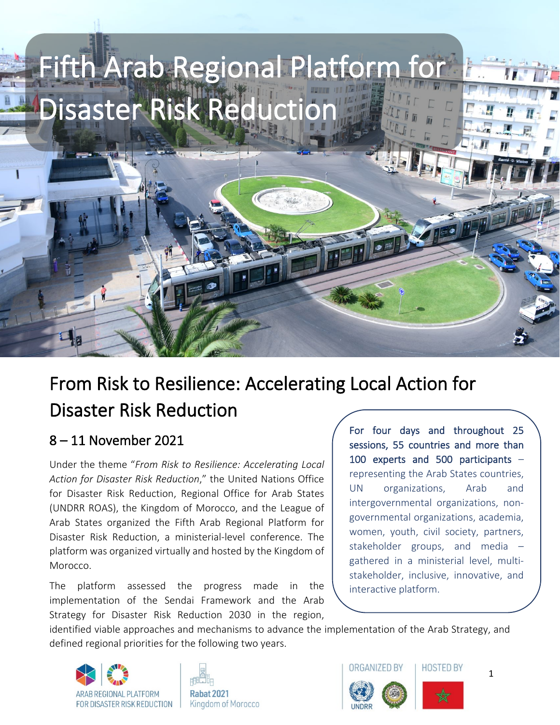

# From Risk to Resilience: Accelerating Local Action for Disaster Risk Reduction

## 8 – 11 November 2021

Under the theme "*From Risk to Resilience: Accelerating Local Action for Disaster Risk Reduction*," the United Nations Office for Disaster Risk Reduction, Regional Office for Arab States (UNDRR ROAS), the Kingdom of Morocco, and the League of Arab States organized the Fifth Arab Regional Platform for Disaster Risk Reduction, a ministerial-level conference. The platform was organized virtually and hosted by the Kingdom of Morocco.

The platform assessed the progress made in the implementation of the Sendai Framework and the Arab Strategy for Disaster Risk Reduction 2030 in the region,

For four days and throughout 25 sessions, 55 countries and more than 100 experts and 500 participants – representing the Arab States countries, UN organizations, Arab and intergovernmental organizations, nongovernmental organizations, academia, women, youth, civil society, partners, stakeholder groups, and media – gathered in a ministerial level, multistakeholder, inclusive, innovative, and interactive platform.

identified viable approaches and mechanisms to advance the implementation of the Arab Strategy, and defined regional priorities for the following two years.







1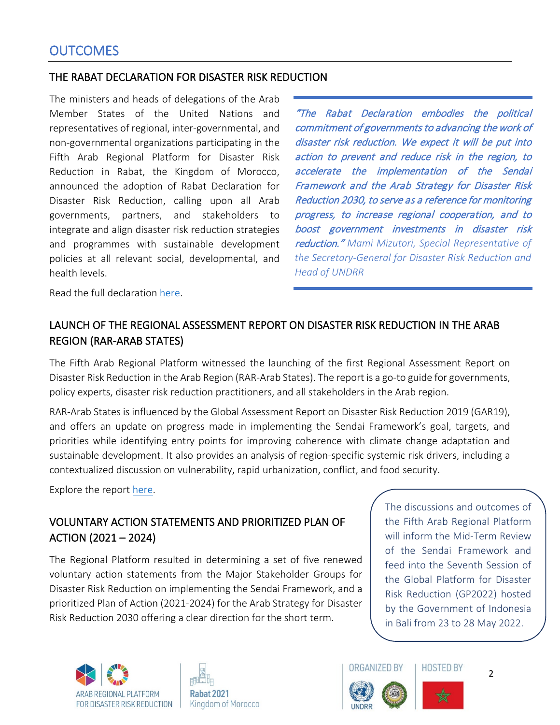#### THE RABAT DECLARATION FOR DISASTER RISK REDUCTION

The ministers and heads of delegations of the Arab Member States of the United Nations and representatives of regional, inter-governmental, and non-governmental organizations participating in the Fifth Arab Regional Platform for Disaster Risk Reduction in Rabat, the Kingdom of Morocco, announced the adoption of Rabat Declaration for Disaster Risk Reduction, calling upon all Arab governments, partners, and stakeholders to integrate and align disaster risk reduction strategies and programmes with sustainable development policies at all relevant social, developmental, and health levels.

"The Rabat Declaration embodies the political commitment of governments to advancing the work of disaster risk reduction. We expect it will be put into action to prevent and reduce risk in the region, to accelerate the implementation of the Sendai Framework and the Arab Strategy for Disaster Risk Reduction 2030, to serve as a reference for monitoring progress, to increase regional cooperation, and to boost government investments in disaster risk reduction." *Mami Mizutori, Special Representative of the Secretary-General for Disaster Risk Reduction and Head of UNDRR*

Read the full declaration [here.](https://rp-arabstates.undrr.org/fifth-arab-regional-platform-disaster-risk-reduction-about)

## LAUNCH OF THE REGIONAL ASSESSMENT REPORT ON DISASTER RISK REDUCTION IN THE ARAB REGION (RAR-ARAB STATES)

The Fifth Arab Regional Platform witnessed the launching of the first Regional Assessment Report on Disaster Risk Reduction in the Arab Region (RAR-Arab States). The report is a go-to guide for governments, policy experts, disaster risk reduction practitioners, and all stakeholders in the Arab region.

RAR-Arab States is influenced by the Global Assessment Report on Disaster Risk Reduction 2019 (GAR19), and offers an update on progress made in implementing the Sendai Framework's goal, targets, and priorities while identifying entry points for improving coherence with climate change adaptation and sustainable development. It also provides an analysis of region-specific systemic risk drivers, including a contextualized discussion on vulnerability, rapid urbanization, conflict, and food security.

Explore the report [here.](https://www.undrr.org/2021-regional-assessment-report-arab-states)

### VOLUNTARY ACTION STATEMENTS AND PRIORITIZED PLAN OF ACTION (2021 – 2024)

The Regional Platform resulted in determining a set of five renewed voluntary action statements from the Major Stakeholder Groups for Disaster Risk Reduction on implementing the Sendai Framework, and a prioritized Plan of Action (2021-2024) for the Arab Strategy for Disaster Risk Reduction 2030 offering a clear direction for the short term.

The discussions and outcomes of the Fifth Arab Regional Platform will inform the Mid-Term Review of the Sendai Framework and feed into the Seventh Session of the Global Platform for Disaster Risk Reduction (GP2022) hosted by the Government of Indonesia in Bali from 23 to 28 May 2022.







2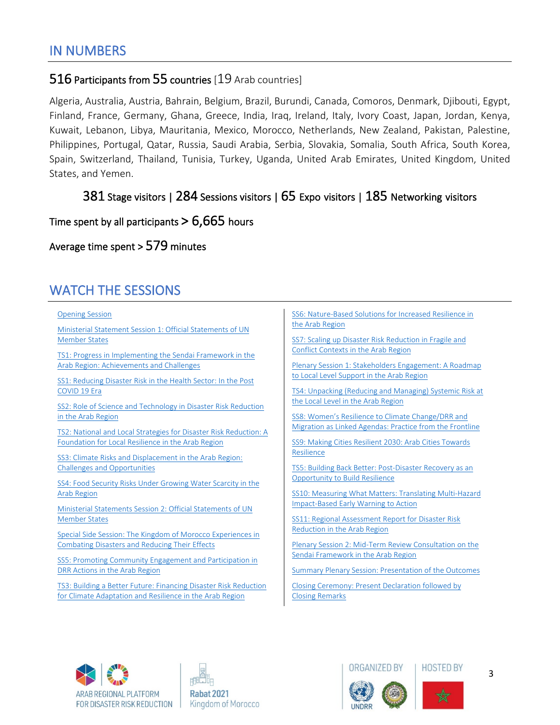### 516 Participants from 55 countries [19 Arab countries]

Algeria, Australia, Austria, Bahrain, Belgium, Brazil, Burundi, Canada, Comoros, Denmark, Djibouti, Egypt, Finland, France, Germany, Ghana, Greece, India, Iraq, Ireland, Italy, Ivory Coast, Japan, Jordan, Kenya, Kuwait, Lebanon, Libya, Mauritania, Mexico, Morocco, Netherlands, New Zealand, Pakistan, Palestine, Philippines, Portugal, Qatar, Russia, Saudi Arabia, Serbia, Slovakia, Somalia, South Africa, South Korea, Spain, Switzerland, Thailand, Tunisia, Turkey, Uganda, United Arab Emirates, United Kingdom, United States, and Yemen.

### 381 Stage visitors | 284 Sessions visitors | 65 Expo visitors | 185 Networking visitors

#### Time spent by all participants  $> 6,665$  hours

#### Average time spent > 579 minutes

## WATCH THE SESSIONS

**[Opening Session](https://drive.google.com/drive/folders/1lrRU3kpLHQOh5tlPUCCU-3xSPeLf9li9)** 

[Ministerial Statement Session 1: Official Statements of UN](https://drive.google.com/drive/folders/1di35PFsx1tc2vZfoWDSahy5CnMY-63WN)  [Member States](https://drive.google.com/drive/folders/1di35PFsx1tc2vZfoWDSahy5CnMY-63WN)

[TS1: Progress in Implementing the](https://drive.google.com/drive/folders/1k8oiGf5mFK_fvX74IBlKY0VONxtZNb5C) Sendai Framework in the [Arab Region: Achievements and Challenges](https://drive.google.com/drive/folders/1k8oiGf5mFK_fvX74IBlKY0VONxtZNb5C)

[SS1: Reducing Disaster Risk in the Health Sector: In the Post](https://drive.google.com/drive/folders/1rwNTYFXQtI_hvuPOcP-NFWGlM3NPD0Rp)  [COVID 19 Era](https://drive.google.com/drive/folders/1rwNTYFXQtI_hvuPOcP-NFWGlM3NPD0Rp)

[SS2: Role of Science and Technology in Disaster Risk Reduction](https://drive.google.com/drive/folders/1w28OAxOYRrWbfBbC3FGyNRCzKDvPyd11) [in the Arab Region](https://drive.google.com/drive/folders/1w28OAxOYRrWbfBbC3FGyNRCzKDvPyd11)

[TS2: National and Local Strategies for Disaster Risk Reduction: A](https://drive.google.com/drive/folders/1H90-krmvuSUOvAdMty4kbXbVllfGegqD)  [Foundation for Local Resilience in the Arab Region](https://drive.google.com/drive/folders/1H90-krmvuSUOvAdMty4kbXbVllfGegqD)

SS3: Climate Risks and Displacement in the Arab Region: [Challenges and Opportunities](https://drive.google.com/drive/folders/1aa88xH0JCoQZlM3H9VScvjodzrS2xqxm)

[SS4: Food Security Risks Under Growing Water Scarcity in the](https://drive.google.com/drive/folders/1t1rshdz7U7HVd5TIgA3TlMci7OVw9OP9)  [Arab Region](https://drive.google.com/drive/folders/1t1rshdz7U7HVd5TIgA3TlMci7OVw9OP9)

[Ministerial Statements Session 2: Official Statements of UN](https://drive.google.com/drive/folders/1BuTORYRdB59mMFGdwLX_VFTUBIQW5jOQ)  [Member States](https://drive.google.com/drive/folders/1BuTORYRdB59mMFGdwLX_VFTUBIQW5jOQ)

[Special Side Session: The Kingdom of Morocco Experiences in](https://drive.google.com/drive/folders/14qjiw_G5yPcgLpO6KhNdPp3xMy6k8-NE)  [Combating Disasters and Reducing Their Effects](https://drive.google.com/drive/folders/14qjiw_G5yPcgLpO6KhNdPp3xMy6k8-NE)

[SS5: Promoting Community Engagement and Participation in](https://drive.google.com/drive/folders/1PSzhwJ9pgokncWvOkog-l9PD29-glVc2)  [DRR Actions in the Arab Region](https://drive.google.com/drive/folders/1PSzhwJ9pgokncWvOkog-l9PD29-glVc2)

[TS3: Building a Better Future: Financing Disaster Risk Reduction](https://drive.google.com/drive/folders/1ZxOFv_gQKrTvBC8s7AHBHvPbOOmRuEc-)  [for Climate Adaptation and Resilience in the Arab Region](https://drive.google.com/drive/folders/1ZxOFv_gQKrTvBC8s7AHBHvPbOOmRuEc-)

[SS6: Nature-Based Solutions for Increased Resilience in](https://drive.google.com/drive/folders/1JNwHvXQrZ8tFOh85A8HTQFrE9Db5Wnqq)  [the Arab Region](https://drive.google.com/drive/folders/1JNwHvXQrZ8tFOh85A8HTQFrE9Db5Wnqq)

[SS7: Scaling up Disaster Risk Reduction in Fragile and](https://drive.google.com/drive/folders/11zzNhtHw1_dp1Qc2nxS82lzE4PMNkriV)  [Conflict Contexts in the Arab Region](https://drive.google.com/drive/folders/11zzNhtHw1_dp1Qc2nxS82lzE4PMNkriV)

[Plenary Session 1: Stakeholders Engagement: A Roadmap](https://drive.google.com/drive/folders/1Rpmi5rVK2ZgK_3bHlxW_cmDU_VeVvQCu)  [to Local Level Support in the Arab Region](https://drive.google.com/drive/folders/1Rpmi5rVK2ZgK_3bHlxW_cmDU_VeVvQCu)

[TS4: Unpacking \(Reducing and Managing\) Systemic Risk at](https://drive.google.com/drive/folders/1M33hS0dTZj-_yj9Sxk55SrKV2wqjB2xj)  [the Local Level in the Arab Region](https://drive.google.com/drive/folders/1M33hS0dTZj-_yj9Sxk55SrKV2wqjB2xj)

SS8: Women's Resilience to Climate Change/DRR and [Migration as Linked Agendas: Practice from the Frontline](https://drive.google.com/drive/folders/1ifYizjzOFEHK7KMK0ADWDUB-I2oswPLN)

[SS9: Making Cities Resilient 2030: Arab Cities Towards](https://drive.google.com/drive/folders/1IUGC2vODwH2owLwXj-_iFbTiLv01wWbB)  [Resilience](https://drive.google.com/drive/folders/1IUGC2vODwH2owLwXj-_iFbTiLv01wWbB)

[TS5: Building Back Better: Post-Disaster Recovery as an](https://drive.google.com/drive/folders/19kdsNepqJb5E-XlEJAiNgrcyyVFdWKY7)  [Opportunity to Build Resilience](https://drive.google.com/drive/folders/19kdsNepqJb5E-XlEJAiNgrcyyVFdWKY7)

[SS10: Measuring What Matters: Translating Multi-Hazard](https://drive.google.com/drive/folders/1RexsQqmV5YruQmaJEHYCmNs_U3-CeUCs)  [Impact-Based Early Warning to Action](https://drive.google.com/drive/folders/1RexsQqmV5YruQmaJEHYCmNs_U3-CeUCs)

[SS11: Regional Assessment Report for Disaster Risk](https://drive.google.com/drive/folders/1wtjxm_gFK1tV3NH8Tk0Vi0gx8Qmk0NRt)  [Reduction in the Arab Region](https://drive.google.com/drive/folders/1wtjxm_gFK1tV3NH8Tk0Vi0gx8Qmk0NRt)

[Plenary Session 2: Mid-Term Review Consultation on the](https://drive.google.com/drive/folders/1Wiy-UjMafD2xjeqiJ0y2_lMtzg-iemrS)  [Sendai Framework in the Arab Region](https://drive.google.com/drive/folders/1Wiy-UjMafD2xjeqiJ0y2_lMtzg-iemrS)

[Summary Plenary Session: Presentation of the Outcomes](https://drive.google.com/drive/folders/1iCFXCPL-fsjS9aWIjFLxZjjJKkqjDjdo)

[Closing Ceremony: Present Declaration followed by](https://drive.google.com/drive/folders/12QXrvseCVMV5voLElHJvghees2Ka5vfE)  [Closing Remarks](https://drive.google.com/drive/folders/12QXrvseCVMV5voLElHJvghees2Ka5vfE)









3